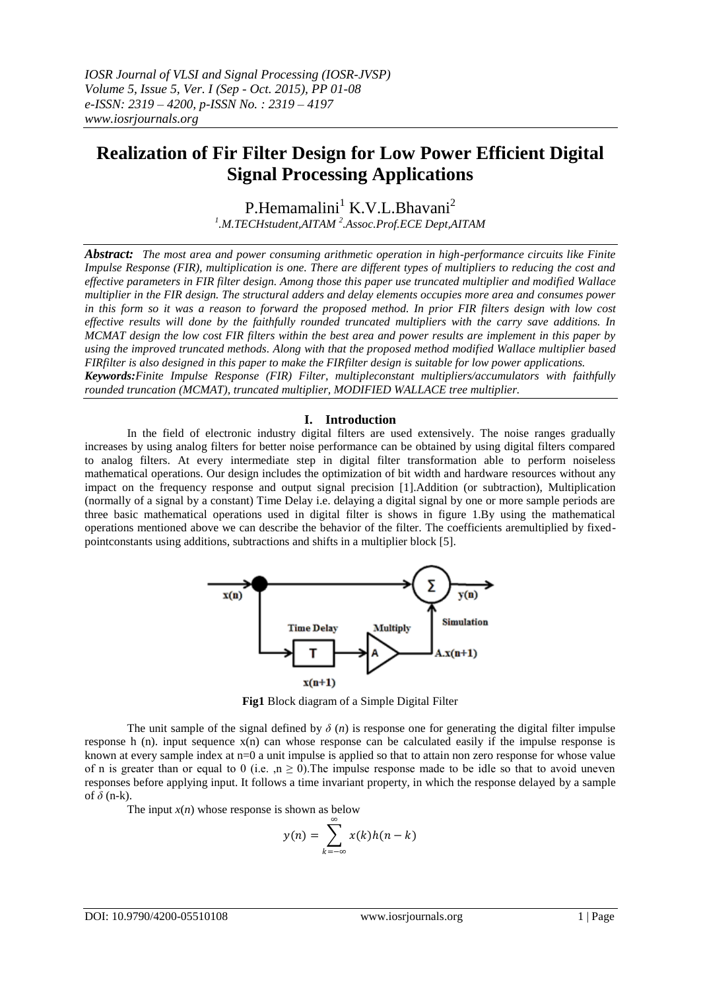# **Realization of Fir Filter Design for Low Power Efficient Digital Signal Processing Applications**

P.Hemamalini<sup>1</sup> K.V.L.Bhavani<sup>2</sup> *1 .M.TECHstudent,AITAM <sup>2</sup> .Assoc.Prof.ECE Dept,AITAM*

*Abstract: The most area and power consuming arithmetic operation in high-performance circuits like Finite Impulse Response (FIR), multiplication is one. There are different types of multipliers to reducing the cost and effective parameters in FIR filter design. Among those this paper use truncated multiplier and modified Wallace multiplier in the FIR design. The structural adders and delay elements occupies more area and consumes power in this form so it was a reason to forward the proposed method. In prior FIR filters design with low cost effective results will done by the faithfully rounded truncated multipliers with the carry save additions. In MCMAT design the low cost FIR filters within the best area and power results are implement in this paper by using the improved truncated methods. Along with that the proposed method modified Wallace multiplier based FIRfilter is also designed in this paper to make the FIRfilter design is suitable for low power applications. Keywords:Finite Impulse Response (FIR) Filter, multipleconstant multipliers/accumulators with faithfully rounded truncation (MCMAT), truncated multiplier, MODIFIED WALLACE tree multiplier.*

# **I. Introduction**

In the field of electronic industry digital filters are used extensively. The noise ranges gradually increases by using analog filters for better noise performance can be obtained by using digital filters compared to analog filters. At every intermediate step in digital filter transformation able to perform noiseless mathematical operations. Our design includes the optimization of bit width and hardware resources without any impact on the frequency response and output signal precision [1].Addition (or subtraction), Multiplication (normally of a signal by a constant) Time Delay i.e. delaying a digital signal by one or more sample periods are three basic mathematical operations used in digital filter is shows in figure 1.By using the mathematical operations mentioned above we can describe the behavior of the filter. The coefficients aremultiplied by fixedpointconstants using additions, subtractions and shifts in a multiplier block [5].



**Fig1** Block diagram of a Simple Digital Filter

The unit sample of the signal defined by  $\delta(n)$  is response one for generating the digital filter impulse response h (n). input sequence  $x(n)$  can whose response can be calculated easily if the impulse response is known at every sample index at n=0 a unit impulse is applied so that to attain non zero response for whose value of n is greater than or equal to 0 (i.e. ,n  $\geq$  0). The impulse response made to be idle so that to avoid uneven responses before applying input. It follows a time invariant property, in which the response delayed by a sample of  $\delta$  (n-k).

The input  $x(n)$  whose response is shown as below

$$
y(n) = \sum_{k=-\infty}^{\infty} x(k)h(n-k)
$$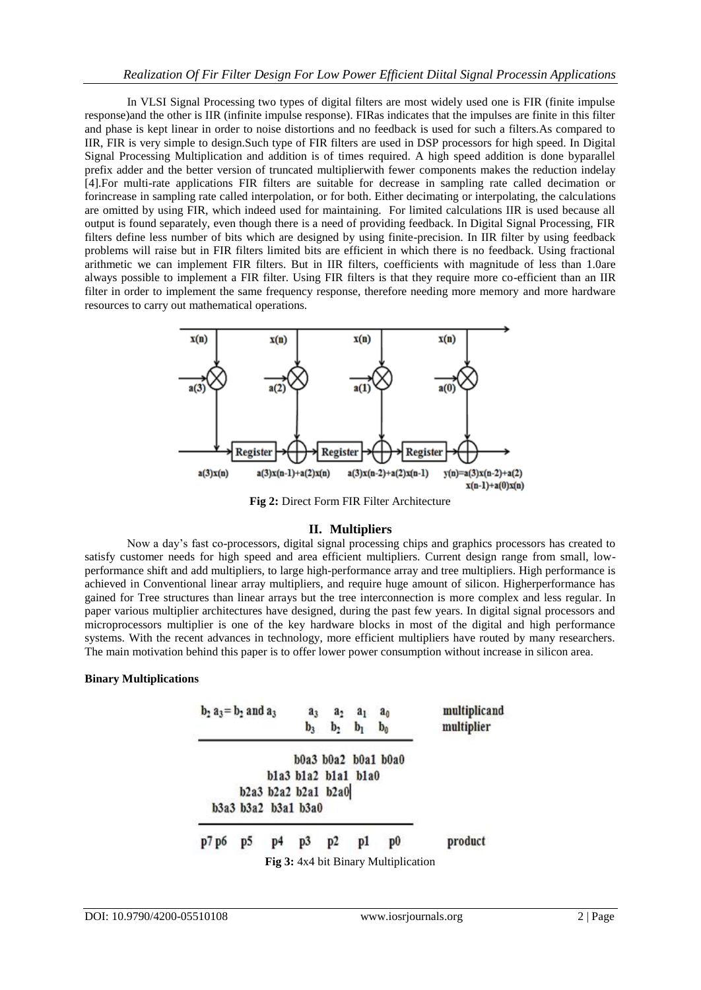In VLSI Signal Processing two types of digital filters are most widely used one is FIR (finite impulse response)and the other is IIR (infinite impulse response). FIRas indicates that the impulses are finite in this filter and phase is kept linear in order to noise distortions and no feedback is used for such a filters.As compared to IIR, FIR is very simple to design.Such type of FIR filters are used in DSP processors for high speed. In Digital Signal Processing Multiplication and addition is of times required. A high speed addition is done byparallel prefix adder and the better version of truncated multiplierwith fewer components makes the reduction indelay [4].For multi-rate applications FIR filters are suitable for decrease in sampling rate called decimation or forincrease in sampling rate called interpolation, or for both. Either decimating or interpolating, the calculations are omitted by using FIR, which indeed used for maintaining. For limited calculations IIR is used because all output is found separately, even though there is a need of providing feedback. In Digital Signal Processing, FIR filters define less number of bits which are designed by using finite-precision. In IIR filter by using feedback problems will raise but in FIR filters limited bits are efficient in which there is no feedback. Using fractional arithmetic we can implement FIR filters. But in IIR filters, coefficients with magnitude of less than 1.0are always possible to implement a FIR filter. Using FIR filters is that they require more co-efficient than an IIR filter in order to implement the same frequency response, therefore needing more memory and more hardware resources to carry out mathematical operations.



**Fig 2:** Direct Form FIR Filter Architecture

#### **II. Multipliers**

Now a day's fast co-processors, digital signal processing chips and graphics processors has created to satisfy customer needs for high speed and area efficient multipliers. Current design range from small, lowperformance shift and add multipliers, to large high-performance array and tree multipliers. High performance is achieved in Conventional linear array multipliers, and require huge amount of silicon. Higherperformance has gained for Tree structures than linear arrays but the tree interconnection is more complex and less regular. In paper various multiplier architectures have designed, during the past few years. In digital signal processors and microprocessors multiplier is one of the key hardware blocks in most of the digital and high performance systems. With the recent advances in technology, more efficient multipliers have routed by many researchers. The main motivation behind this paper is to offer lower power consumption without increase in silicon area.

#### **Binary Multiplications**

| $b_2 a_3 = b_2$ and $a_3$ |    |    | $a_3$<br>$b_3$      | $a_2$<br>b,                                | a <sub>1</sub><br>$b_1$ | a <sub>0</sub><br>b <sub>0</sub>                              | multiplicand<br>multiplier |
|---------------------------|----|----|---------------------|--------------------------------------------|-------------------------|---------------------------------------------------------------|----------------------------|
|                           |    |    | b3a3 b3a2 b3a1 b3a0 | b1a3 b1a2 b1a1 b1a0<br>b2a3 b2a2 b2a1 b2a0 |                         | b0a3 b0a2 b0a1 b0a0                                           |                            |
| p7 p6                     | p5 | p4 | p3                  | p2                                         | pl                      | p <sub>0</sub><br><b>Fig 3:</b> 4x4 bit Binary Multiplication | product                    |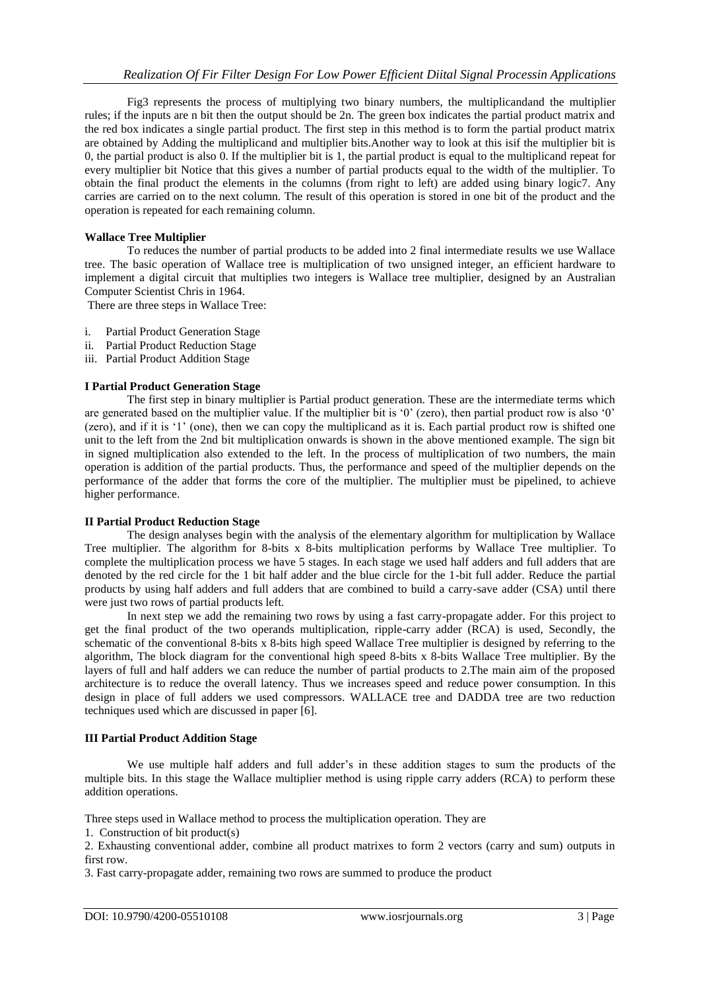Fig3 represents the process of multiplying two binary numbers, the multiplicandand the multiplier rules; if the inputs are n bit then the output should be 2n. The green box indicates the partial product matrix and the red box indicates a single partial product. The first step in this method is to form the partial product matrix are obtained by Adding the multiplicand and multiplier bits.Another way to look at this isif the multiplier bit is 0, the partial product is also 0. If the multiplier bit is 1, the partial product is equal to the multiplicand repeat for every multiplier bit Notice that this gives a number of partial products equal to the width of the multiplier. To obtain the final product the elements in the columns (from right to left) are added using binary logic7. Any carries are carried on to the next column. The result of this operation is stored in one bit of the product and the operation is repeated for each remaining column.

#### **Wallace Tree Multiplier**

To reduces the number of partial products to be added into 2 final intermediate results we use Wallace tree. The basic operation of Wallace tree is multiplication of two unsigned integer, an efficient hardware to implement a digital circuit that multiplies two integers is Wallace tree multiplier, designed by an Australian Computer Scientist Chris in 1964.

There are three steps in Wallace Tree:

- i. Partial Product Generation Stage
- ii. Partial Product Reduction Stage
- iii. Partial Product Addition Stage

#### **I Partial Product Generation Stage**

The first step in binary multiplier is Partial product generation. These are the intermediate terms which are generated based on the multiplier value. If the multiplier bit is  $\dot{0}$  (zero), then partial product row is also  $\dot{0}$ ' (zero), and if it is ‗1' (one), then we can copy the multiplicand as it is. Each partial product row is shifted one unit to the left from the 2nd bit multiplication onwards is shown in the above mentioned example. The sign bit in signed multiplication also extended to the left. In the process of multiplication of two numbers, the main operation is addition of the partial products. Thus, the performance and speed of the multiplier depends on the performance of the adder that forms the core of the multiplier. The multiplier must be pipelined, to achieve higher performance.

#### **II Partial Product Reduction Stage**

The design analyses begin with the analysis of the elementary algorithm for multiplication by Wallace Tree multiplier. The algorithm for 8-bits x 8-bits multiplication performs by Wallace Tree multiplier. To complete the multiplication process we have 5 stages. In each stage we used half adders and full adders that are denoted by the red circle for the 1 bit half adder and the blue circle for the 1-bit full adder. Reduce the partial products by using half adders and full adders that are combined to build a carry-save adder (CSA) until there were just two rows of partial products left.

In next step we add the remaining two rows by using a fast carry-propagate adder. For this project to get the final product of the two operands multiplication, ripple-carry adder (RCA) is used, Secondly, the schematic of the conventional 8-bits x 8-bits high speed Wallace Tree multiplier is designed by referring to the algorithm, The block diagram for the conventional high speed 8-bits x 8-bits Wallace Tree multiplier. By the layers of full and half adders we can reduce the number of partial products to 2.The main aim of the proposed architecture is to reduce the overall latency. Thus we increases speed and reduce power consumption. In this design in place of full adders we used compressors. WALLACE tree and DADDA tree are two reduction techniques used which are discussed in paper [6].

#### **III Partial Product Addition Stage**

We use multiple half adders and full adder's in these addition stages to sum the products of the multiple bits. In this stage the Wallace multiplier method is using ripple carry adders (RCA) to perform these addition operations.

Three steps used in Wallace method to process the multiplication operation. They are

1. Construction of bit product(s)

2. Exhausting conventional adder, combine all product matrixes to form 2 vectors (carry and sum) outputs in first row.

3. Fast carry-propagate adder, remaining two rows are summed to produce the product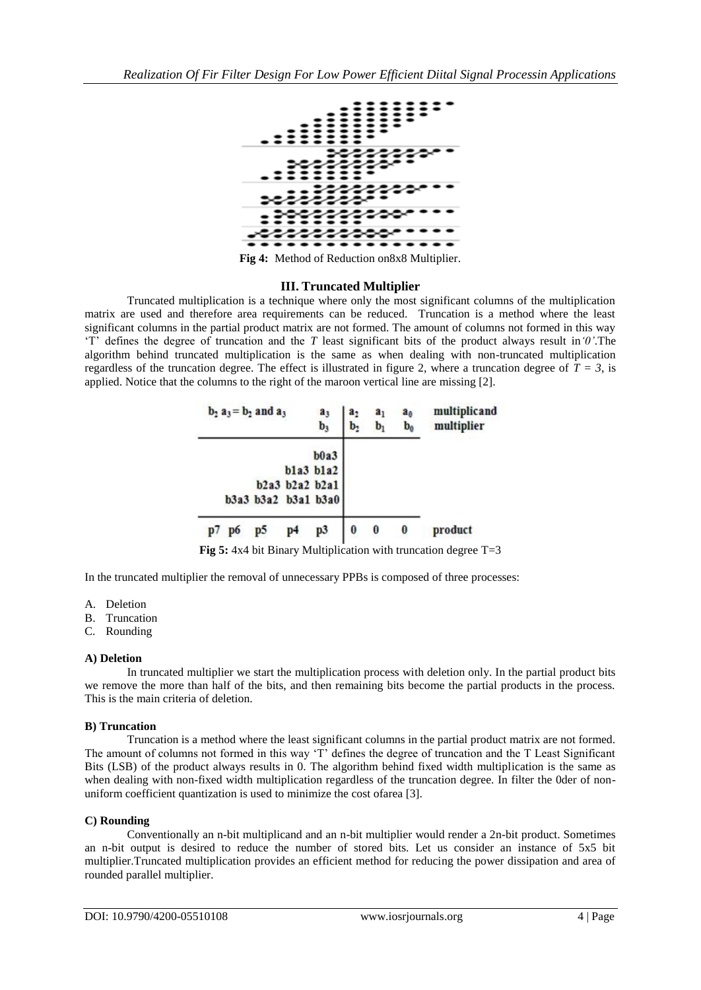

**Fig 4:** Method of Reduction on8x8 Multiplier.

#### **III. Truncated Multiplier**

Truncated multiplication is a technique where only the most significant columns of the multiplication matrix are used and therefore area requirements can be reduced. Truncation is a method where the least significant columns in the partial product matrix are not formed. The amount of columns not formed in this way ‗T' defines the degree of truncation and the *T* least significant bits of the product always result in*'0'*.The algorithm behind truncated multiplication is the same as when dealing with non-truncated multiplication regardless of the truncation degree. The effect is illustrated in figure 2, where a truncation degree of  $\tilde{T} = 3$ , is applied. Notice that the columns to the right of the maroon vertical line are missing [2].

|    | $b_2$ a <sub>3</sub> = $b_2$ and a <sub>3</sub> |    |                |                                       | a,<br>b, | a <sub>l</sub><br>b, | a <sub>0</sub><br>$\mathbf{b}_0$ | multiplicand<br>multiplier |
|----|-------------------------------------------------|----|----------------|---------------------------------------|----------|----------------------|----------------------------------|----------------------------|
|    |                                                 |    |                | b0a3<br>b1a3 b1a2                     |          |                      |                                  |                            |
|    |                                                 |    |                | b2a3 b2a2 b2a1<br>b3a3 b3a2 b3a1 b3a0 |          |                      |                                  |                            |
| p7 | p <sub>6</sub>                                  | p5 | p <sub>4</sub> | p3                                    | 0        | $\boldsymbol{0}$     | 0                                | product                    |

**Fig 5:** 4x4 bit Binary Multiplication with truncation degree T=3

In the truncated multiplier the removal of unnecessary PPBs is composed of three processes:

- A. Deletion
- B. Truncation
- C. Rounding

#### **A) Deletion**

In truncated multiplier we start the multiplication process with deletion only. In the partial product bits we remove the more than half of the bits, and then remaining bits become the partial products in the process. This is the main criteria of deletion.

#### **B) Truncation**

Truncation is a method where the least significant columns in the partial product matrix are not formed. The amount of columns not formed in this way 'T' defines the degree of truncation and the T Least Significant Bits (LSB) of the product always results in 0. The algorithm behind fixed width multiplication is the same as when dealing with non-fixed width multiplication regardless of the truncation degree. In filter the 0der of nonuniform coefficient quantization is used to minimize the cost ofarea [3].

#### **C) Rounding**

Conventionally an n-bit multiplicand and an n-bit multiplier would render a 2n-bit product. Sometimes an n-bit output is desired to reduce the number of stored bits. Let us consider an instance of 5x5 bit multiplier.Truncated multiplication provides an efficient method for reducing the power dissipation and area of rounded parallel multiplier.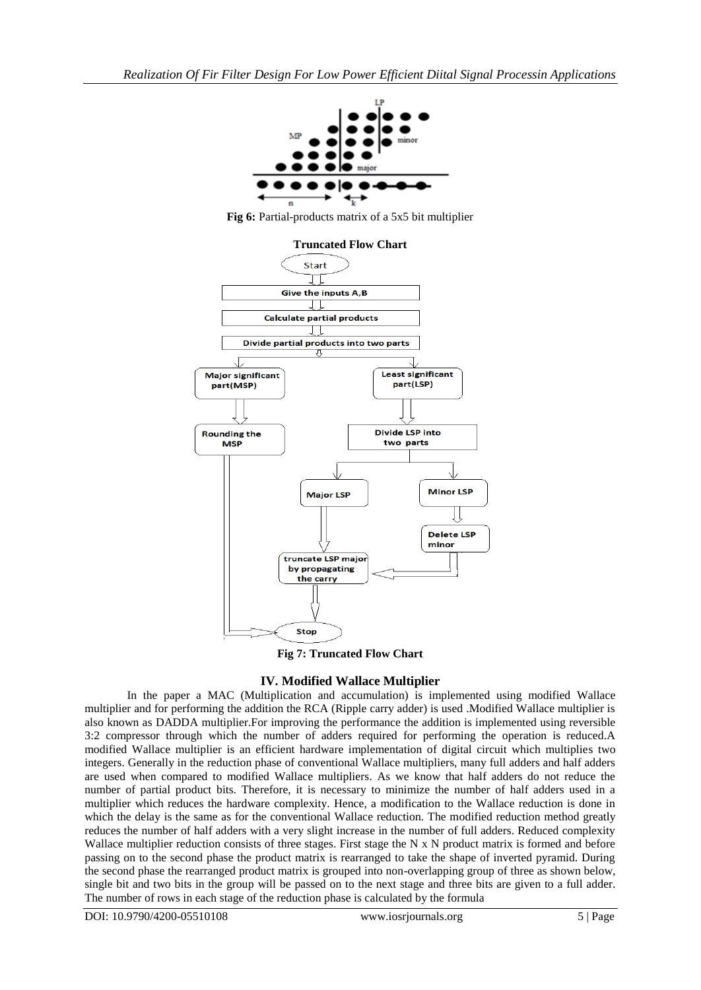

**Fig 6:** Partial-products matrix of a 5x5 bit multiplier



**Fig 7: Truncated Flow Chart**

# **IV. Modified Wallace Multiplier**

In the paper a MAC (Multiplication and accumulation) is implemented using modified Wallace multiplier and for performing the addition the RCA (Ripple carry adder) is used .Modified Wallace multiplier is also known as DADDA multiplier.For improving the performance the addition is implemented using reversible 3:2 compressor through which the number of adders required for performing the operation is reduced.A modified Wallace multiplier is an efficient hardware implementation of digital circuit which multiplies two integers. Generally in the reduction phase of conventional Wallace multipliers, many full adders and half adders are used when compared to modified Wallace multipliers. As we know that half adders do not reduce the number of partial product bits. Therefore, it is necessary to minimize the number of half adders used in a multiplier which reduces the hardware complexity. Hence, a modification to the Wallace reduction is done in which the delay is the same as for the conventional Wallace reduction. The modified reduction method greatly reduces the number of half adders with a very slight increase in the number of full adders. Reduced complexity Wallace multiplier reduction consists of three stages. First stage the N x N product matrix is formed and before passing on to the second phase the product matrix is rearranged to take the shape of inverted pyramid. During the second phase the rearranged product matrix is grouped into non-overlapping group of three as shown below, single bit and two bits in the group will be passed on to the next stage and three bits are given to a full adder. The number of rows in each stage of the reduction phase is calculated by the formula

DOI: 10.9790/4200-05510108 www.iosrjournals.org 5 | Page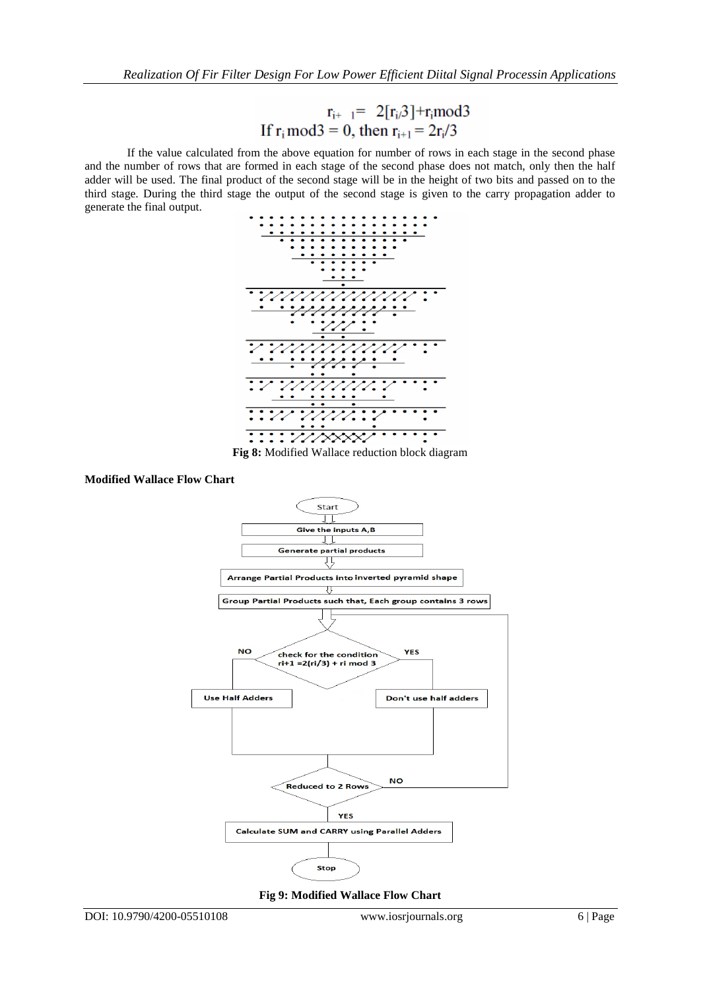$$
r_{i+1} = 2[r_i \beta] + r_i \text{mod} 3
$$
  
If  $r_i \text{ mod} 3 = 0$ , then  $r_{i+1} = 2r_i/3$ 

If the value calculated from the above equation for number of rows in each stage in the second phase and the number of rows that are formed in each stage of the second phase does not match, only then the half adder will be used. The final product of the second stage will be in the height of two bits and passed on to the third stage. During the third stage the output of the second stage is given to the carry propagation adder to generate the final output.



**Fig 8:** Modified Wallace reduction block diagram

#### **Modified Wallace Flow Chart**



**Fig 9: Modified Wallace Flow Chart**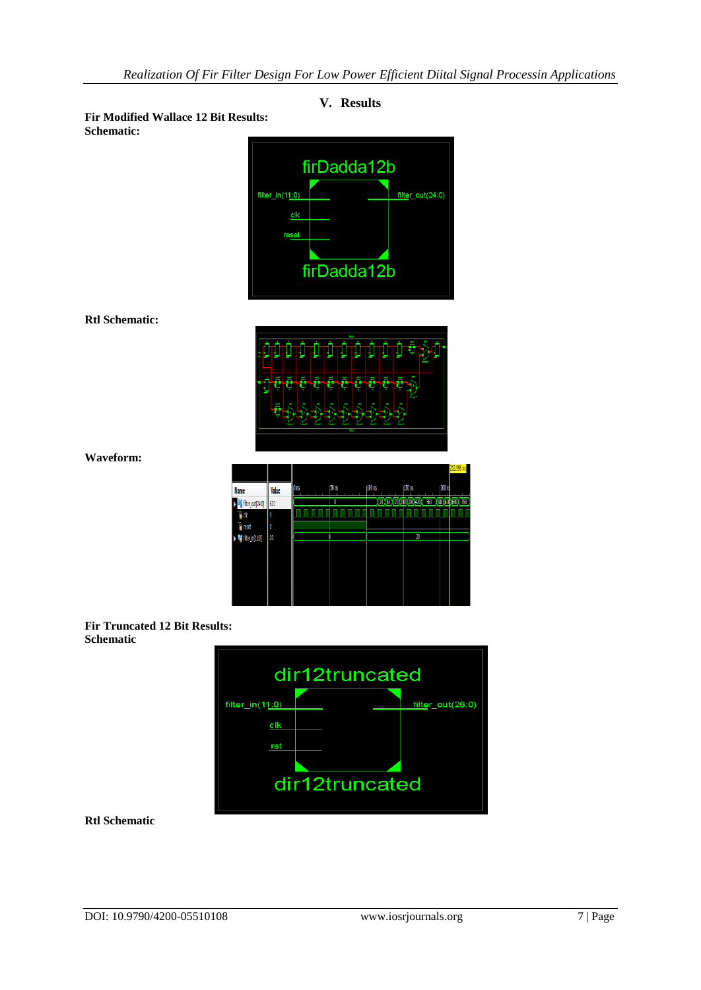

 $rst$ 

dir12truncated

# **V. Results**

DOI: 10.9790/4200-05510108 www.iosrjournals.org 7 | Page

**Rtl Schematic**